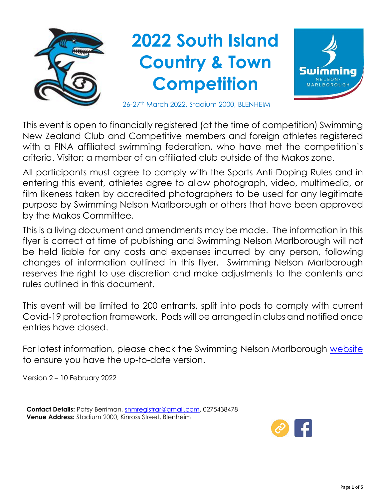

This event is open to financially registered (at the time of competition) Swimming New Zealand Club and Competitive members and foreign athletes registered with a FINA affiliated swimming federation, who have met the competition's criteria. Visitor; a member of an affiliated club outside of the Makos zone.

All participants must agree to comply with the Sports Anti-Doping Rules and in entering this event, athletes agree to allow photograph, video, multimedia, or film likeness taken by accredited photographers to be used for any legitimate purpose by Swimming Nelson Marlborough or others that have been approved by the Makos Committee.

This is a living document and amendments may be made. The information in this flyer is correct at time of publishing and Swimming Nelson Marlborough will not be held liable for any costs and expenses incurred by any person, following changes of information outlined in this flyer. Swimming Nelson Marlborough reserves the right to use discretion and make adjustments to the contents and rules outlined in this document.

This event will be limited to 200 entrants, split into pods to comply with current Covid-19 protection framework. Pods will be arranged in clubs and notified once entries have closed.

For latest information, please check the Swimming Nelson Marlborough [website](https://www.snm.org.nz/) to ensure you have the up-to-date version.

Version 2 – 10 February 2022

**Contact Details:** Patsy Berriman, [snmregistrar@gmail.com,](mailto:snmregistrar@gmail.com) 0275438478 **Venue Address:** Stadium 2000, Kinross Street, Blenheim

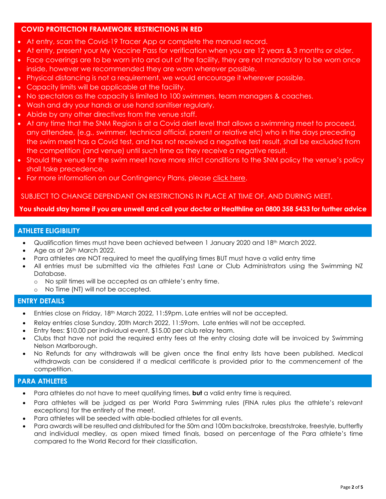# **COVID PROTECTION FRAMEWORK RESTRICTIONS IN RED**

- At entry, scan the Covid-19 Tracer App or complete the manual record.
- At entry, present your My Vaccine Pass for verification when you are 12 years & 3 months or older.
- Face coverings are to be worn into and out of the facility, they are not mandatory to be worn once inside, however we recommended they are worn wherever possible.
- Physical distancing is not a requirement, we would encourage it wherever possible.
- Capacity limits will be applicable at the facility.
- No spectators as the capacity is limited to 100 swimmers, team managers & coaches.
- Wash and dry your hands or use hand sanitiser regularly.
- Abide by any other directives from the venue staff.
- At any time that the SNM Region is at a Covid alert level that allows a swimming meet to proceed, any attendee, (e.g., swimmer, technical official, parent or relative etc) who in the days preceding the swim meet has a Covid test, and has not received a negative test result, shall be excluded from the competition (and venue) until such time as they receive a negative result.
- Should the venue for the swim meet have more strict conditions to the SNM policy the venue's policy shall take precedence.
- For more information on our Contingency Plans, please [click here.](https://swimming.org.nz/visageimages/Health%20and%20Safety/Covid-19%20Protection%20Framework%20Guidelines%20(Aquatics)%20-%202%20December%202021.pdf)

## SUBJECT TO CHANGE DEPENDANT ON RESTRICTIONS IN PLACE AT TIME OF, AND DURING MEET.

**You should stay home if you are unwell and call your doctor or Healthline on 0800 358 5433 for further advice**

## **ATHLETE ELIGIBILITY**

- Qualification times must have been achieved between 1 January 2020 and 18th March 2022.
- Age as at 26<sup>th</sup> March 2022.
- Para athletes are NOT required to meet the qualifying times BUT must have a valid entry time
- All entries must be submitted via the athletes Fast Lane or Club Administrators using the Swimming NZ Database.
	- o No split times will be accepted as an athlete's entry time.
	- o No Time (NT) will not be accepted.

### **ENTRY DETAILS**

- Entries close on Friday, 18<sup>th</sup> March 2022, 11:59pm. Late entries will not be accepted.
- Relay entries close Sunday, 20th March 2022, 11:59om. Late entries will not be accepted.
- Entry fees: \$10.00 per individual event, \$15.00 per club relay team.
- Clubs that have not paid the required entry fees at the entry closing date will be invoiced by Swimming Nelson Marlborough.
- No Refunds for any withdrawals will be given once the final entry lists have been published. Medical withdrawals can be considered if a medical certificate is provided prior to the commencement of the competition.

# **PARA ATHLETES**

- Para athletes do not have to meet qualifying times, **but** a valid entry time is required.
- Para athletes will be judged as per World Para Swimming rules (FINA rules plus the athlete's relevant exceptions) for the entirety of the meet.
- Para athletes will be seeded with able-bodied athletes for all events.
- Para awards will be resulted and distributed for the 50m and 100m backstroke, breaststroke, freestyle, butterfly and individual medley, as open mixed timed finals, based on percentage of the Para athlete's time compared to the World Record for their classification.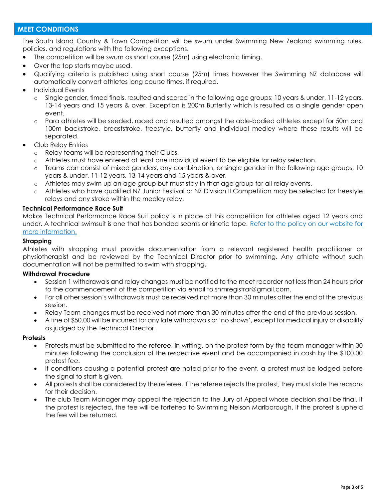## **MEET CONDITIONS**

The South Island Country & Town Competition will be swum under Swimming New Zealand swimming rules, policies, and regulations with the following exceptions.

- The competition will be swum as short course (25m) using electronic timing.
- Over the top starts maybe used.
- Qualifying criteria is published using short course (25m) times however the Swimming NZ database will automatically convert athletes long course times, if required.
- Individual Events
	- o Single gender, timed finals, resulted and scored in the following age groups; 10 years & under, 11-12 years, 13-14 years and 15 years & over. Exception is 200m Butterfly which is resulted as a single gender open event.
	- o Para athletes will be seeded, raced and resulted amongst the able-bodied athletes except for 50m and 100m backstroke, breaststroke, freestyle, butterfly and individual medley where these results will be separated.
- Club Relay Entries
	- o Relay teams will be representing their Clubs.
	- o Athletes must have entered at least one individual event to be eligible for relay selection.
	- o Teams can consist of mixed genders, any combination, or single gender in the following age groups; 10 years & under, 11-12 years, 13-14 years and 15 years & over.
	- o Athletes may swim up an age group but must stay in that age group for all relay events.
	- o Athletes who have qualified NZ Junior Festival or NZ Division II Competition may be selected for freestyle relays and any stroke within the medley relay.

### **Technical Performance Race Suit**

Makos Technical Performance Race Suit policy is in place at this competition for athletes aged 12 years and under. A technical swimsuit is one that has bonded seams or kinetic tape. [Refer to the policy on our website for](https://www.snm.org.nz/files/SNM_Tech_Suit_Policy-Nov2018.pdf)  [more information.](https://www.snm.org.nz/files/SNM_Tech_Suit_Policy-Nov2018.pdf)

#### **Strapping**

Athletes with strapping must provide documentation from a relevant registered health practitioner or physiotherapist and be reviewed by the Technical Director prior to swimming. Any athlete without such documentation will not be permitted to swim with strapping.

### **Withdrawal Procedure**

- Session 1 withdrawals and relay changes must be notified to the meet recorder not less than 24 hours prior to the commencement of the competition via email to snmregistrar@gmail.com.
- For all other session's withdrawals must be received not more than 30 minutes after the end of the previous session.
- Relay Team changes must be received not more than 30 minutes after the end of the previous session.
- A fine of \$50.00 will be incurred for any late withdrawals or 'no shows', except for medical injury or disability as judged by the Technical Director.

#### **Protests**

- Protests must be submitted to the referee, in writing, on the protest form by the team manager within 30 minutes following the conclusion of the respective event and be accompanied in cash by the \$100.00 protest fee.
- If conditions causing a potential protest are noted prior to the event, a protest must be lodged before the signal to start is given.
- All protests shall be considered by the referee. If the referee rejects the protest, they must state the reasons for their decision.
- The club Team Manager may appeal the rejection to the Jury of Appeal whose decision shall be final. If the protest is rejected, the fee will be forfeited to Swimming Nelson Marlborough, If the protest is upheld the fee will be returned.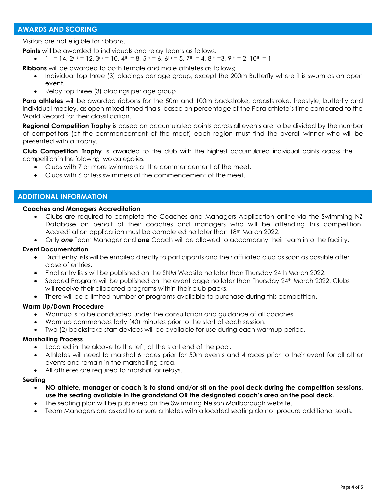## **AWARDS AND SCORING**

Visitors are not eligible for ribbons.

**Points** will be awarded to individuals and relay teams as follows.

 $1st = 14$ ,  $2nd = 12$ ,  $3rd = 10$ ,  $4th = 8$ ,  $5th = 6$ ,  $6th = 5$ ,  $7th = 4$ ,  $8th = 3$ ,  $9th = 2$ ,  $10th = 1$ 

**Ribbons** will be awarded to both female and male athletes as follows;

- Individual top three (3) placings per age group, except the 200m Butterfly where it is swum as an open event.
- Relay top three (3) placings per age group

Para athletes will be awarded ribbons for the 50m and 100m backstroke, breaststroke, freestyle, butterfly and individual medley, as open mixed timed finals, based on percentage of the Para athlete's time compared to the World Record for their classification.

**Regional Competition Trophy** is based on accumulated points across all events are to be divided by the number of competitors (at the commencement of the meet) each region must find the overall winner who will be presented with a trophy.

**Club Competition Trophy** is awarded to the club with the highest accumulated individual points across the competition in the following two categories.

- Clubs with 7 or more swimmers at the commencement of the meet.
- Clubs with 6 or less swimmers at the commencement of the meet.

### **ADDITIONAL INFORMATION**

#### **Coaches and Managers Accreditation**

- Clubs are required to complete the Coaches and Managers Application online via the Swimming NZ Database on behalf of their coaches and managers who will be attending this competition. Accreditation application must be completed no later than 18th March 2022.
- Only *one* Team Manager and *one* Coach will be allowed to accompany their team into the facility.

#### **Event Documentation**

- Draft entry lists will be emailed directly to participants and their affiliated club as soon as possible after close of entries.
- Final entry lists will be published on the SNM Website no later than Thursday 24th March 2022.
- Seeded Program will be published on the event page no later than Thursday 24<sup>th</sup> March 2022. Clubs will receive their allocated programs within their club packs.
- There will be a limited number of programs available to purchase during this competition.

#### **Warm Up/Down Procedure**

- Warmup is to be conducted under the consultation and guidance of all coaches.
- Warmup commences forty (40) minutes prior to the start of each session.
- Two (2) backstroke start devices will be available for use during each warmup period.

#### **Marshalling Process**

- Located in the alcove to the left, at the start end of the pool.
- Athletes will need to marshal 6 races prior for 50m events and 4 races prior to their event for all other events and remain in the marshalling area.
- All athletes are required to marshal for relays.

#### **Seating**

- **NO athlete, manager or coach is to stand and/or sit on the pool deck during the competition sessions, use the seating available in the grandstand OR the designated coach's area on the pool deck.**
- The seating plan will be published on the Swimming Nelson Marlborough website.
- Team Managers are asked to ensure athletes with allocated seating do not procure additional seats.